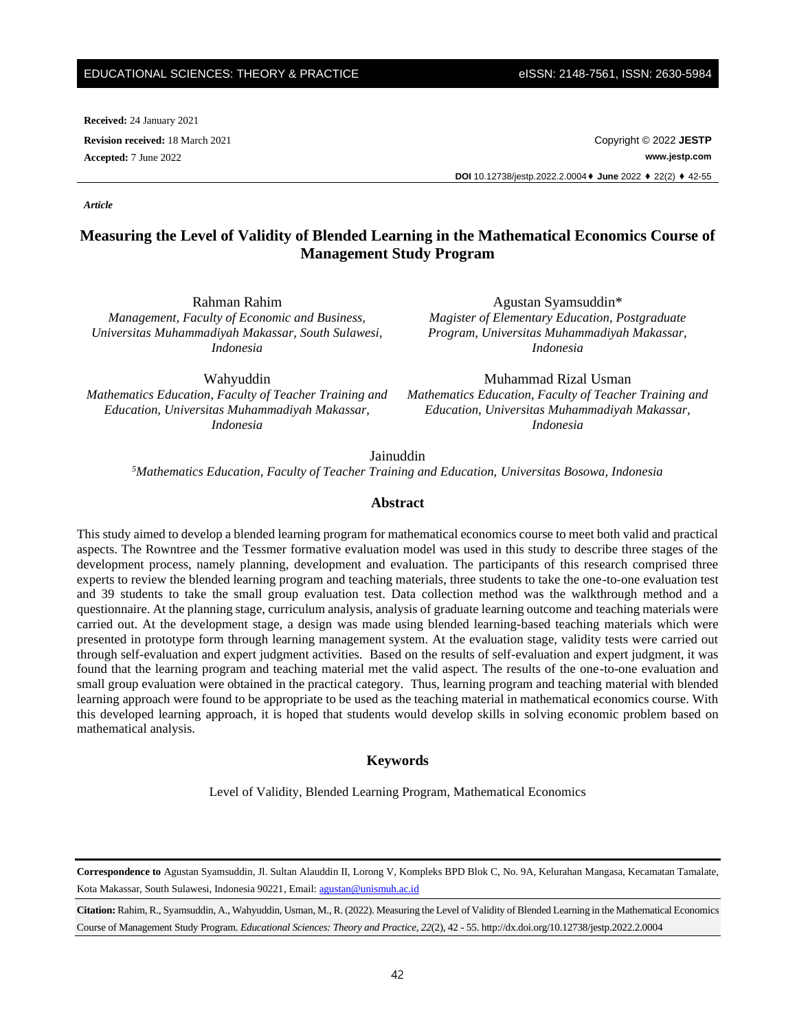**Received:** 24 January 2021

**Revision received:** 18 March 2021 Copyright © 2022 **JESTP Accepted:** 7 June 2022 **www.jestp.com DOI** 10.12738/jestp.2022.2.0004⬧ **June** 2022 ⬧ 22(2) ⬧ 42-55

# **Measuring the Level of Validity of Blended Learning in the Mathematical Economics Course of Management Study Program**

Rahman Rahim *Management, Faculty of Economic and Business, Universitas Muhammadiyah Makassar, South Sulawesi, Indonesia*

Wahyuddin *Mathematics Education, Faculty of Teacher Training and Education, Universitas Muhammadiyah Makassar, Indonesia*

Agustan Syamsuddin\* *Magister of Elementary Education, Postgraduate Program, Universitas Muhammadiyah Makassar, Indonesia*

Muhammad Rizal Usman *Mathematics Education, Faculty of Teacher Training and Education, Universitas Muhammadiyah Makassar, Indonesia*

Jainuddin

*<sup>5</sup>Mathematics Education, Faculty of Teacher Training and Education, Universitas Bosowa, Indonesia*

### **Abstract**

This study aimed to develop a blended learning program for mathematical economics course to meet both valid and practical aspects. The Rowntree and the Tessmer formative evaluation model was used in this study to describe three stages of the development process, namely planning, development and evaluation. The participants of this research comprised three experts to review the blended learning program and teaching materials, three students to take the one-to-one evaluation test and 39 students to take the small group evaluation test. Data collection method was the walkthrough method and a questionnaire. At the planning stage, curriculum analysis, analysis of graduate learning outcome and teaching materials were carried out. At the development stage, a design was made using blended learning-based teaching materials which were presented in prototype form through learning management system. At the evaluation stage, validity tests were carried out through self-evaluation and expert judgment activities. Based on the results of self-evaluation and expert judgment, it was found that the learning program and teaching material met the valid aspect. The results of the one-to-one evaluation and small group evaluation were obtained in the practical category. Thus, learning program and teaching material with blended learning approach were found to be appropriate to be used as the teaching material in mathematical economics course. With this developed learning approach, it is hoped that students would develop skills in solving economic problem based on mathematical analysis.

#### **Keywords**

Level of Validity, Blended Learning Program, Mathematical Economics

**Correspondence to** Agustan Syamsuddin, Jl. Sultan Alauddin II, Lorong V, Kompleks BPD Blok C, No. 9A, Kelurahan Mangasa, Kecamatan Tamalate, Kota Makassar, South Sulawesi, Indonesia 90221, Email: [agustan@unismuh.ac.id](mailto:agustan@unismuh.ac.id)

**Citation:** Rahim, R., Syamsuddin, A., Wahyuddin, Usman, M., R. (2022). Measuring the Level of Validity of Blended Learning in the Mathematical Economics Course of Management Study Program. *Educational Sciences: Theory and Practice, 22*(2), 42 - 55. http://dx.doi.org/10.12738/jestp.2022.2.0004

*Article*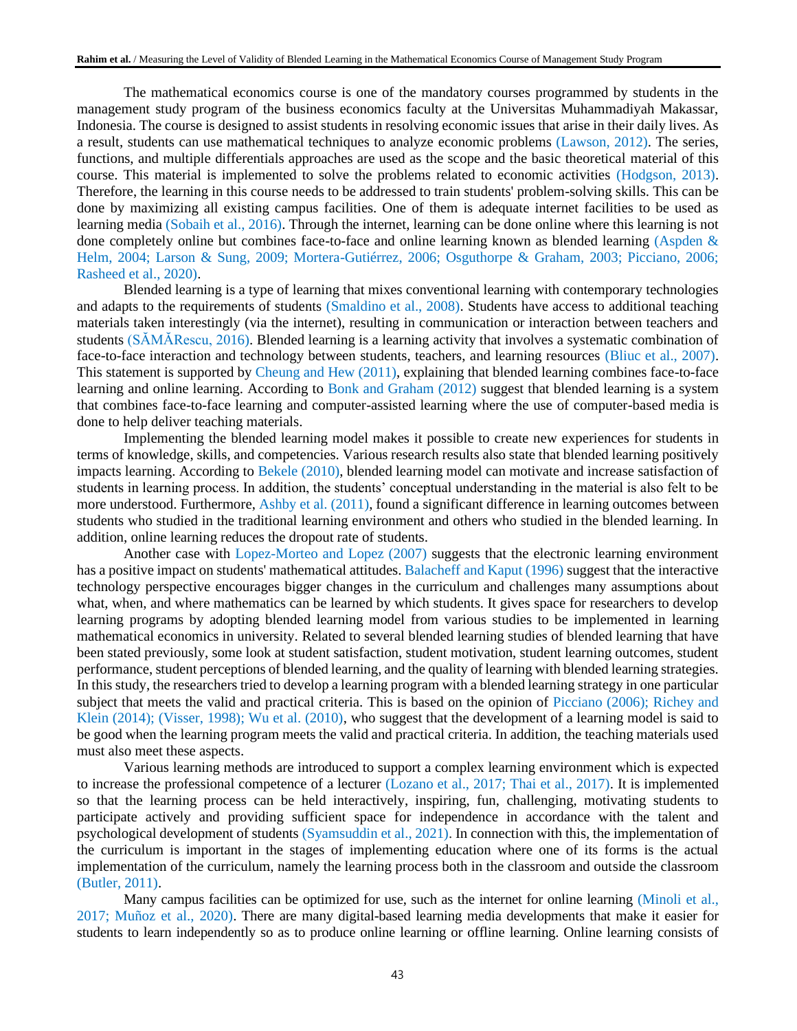The mathematical economics course is one of the mandatory courses programmed by students in the management study program of the business economics faculty at the Universitas Muhammadiyah Makassar, Indonesia. The course is designed to assist students in resolving economic issues that arise in their daily lives. As a result, students can use mathematical techniques to analyze economic problems (Lawson, 2012). The series, functions, and multiple differentials approaches are used as the scope and the basic theoretical material of this course. This material is implemented to solve the problems related to economic activities (Hodgson, 2013). Therefore, the learning in this course needs to be addressed to train students' problem-solving skills. This can be done by maximizing all existing campus facilities. One of them is adequate internet facilities to be used as learning media (Sobaih et al., 2016). Through the internet, learning can be done online where this learning is not done completely online but combines face-to-face and online learning known as blended learning (Aspden & Helm, 2004; Larson & Sung, 2009; Mortera-Gutiérrez, 2006; Osguthorpe & Graham, 2003; Picciano, 2006; Rasheed et al., 2020).

Blended learning is a type of learning that mixes conventional learning with contemporary technologies and adapts to the requirements of students (Smaldino et al., 2008). Students have access to additional teaching materials taken interestingly (via the internet), resulting in communication or interaction between teachers and students (SĂMĂRescu, 2016). Blended learning is a learning activity that involves a systematic combination of face-to-face interaction and technology between students, teachers, and learning resources (Bliuc et al., 2007). This statement is supported by Cheung and Hew (2011), explaining that blended learning combines face-to-face learning and online learning. According to Bonk and Graham (2012) suggest that blended learning is a system that combines face-to-face learning and computer-assisted learning where the use of computer-based media is done to help deliver teaching materials.

Implementing the blended learning model makes it possible to create new experiences for students in terms of knowledge, skills, and competencies. Various research results also state that blended learning positively impacts learning. According to Bekele (2010), blended learning model can motivate and increase satisfaction of students in learning process. In addition, the students' conceptual understanding in the material is also felt to be more understood. Furthermore, Ashby et al. (2011), found a significant difference in learning outcomes between students who studied in the traditional learning environment and others who studied in the blended learning. In addition, online learning reduces the dropout rate of students.

Another case with Lopez-Morteo and Lopez (2007) suggests that the electronic learning environment has a positive impact on students' mathematical attitudes. Balacheff and Kaput (1996) suggest that the interactive technology perspective encourages bigger changes in the curriculum and challenges many assumptions about what, when, and where mathematics can be learned by which students. It gives space for researchers to develop learning programs by adopting blended learning model from various studies to be implemented in learning mathematical economics in university. Related to several blended learning studies of blended learning that have been stated previously, some look at student satisfaction, student motivation, student learning outcomes, student performance, student perceptions of blended learning, and the quality of learning with blended learning strategies. In this study, the researchers tried to develop a learning program with a blended learning strategy in one particular subject that meets the valid and practical criteria. This is based on the opinion of Picciano (2006); Richey and Klein (2014); (Visser, 1998); Wu et al. (2010), who suggest that the development of a learning model is said to be good when the learning program meets the valid and practical criteria. In addition, the teaching materials used must also meet these aspects.

Various learning methods are introduced to support a complex learning environment which is expected to increase the professional competence of a lecturer (Lozano et al., 2017; Thai et al., 2017). It is implemented so that the learning process can be held interactively, inspiring, fun, challenging, motivating students to participate actively and providing sufficient space for independence in accordance with the talent and psychological development of students (Syamsuddin et al., 2021). In connection with this, the implementation of the curriculum is important in the stages of implementing education where one of its forms is the actual implementation of the curriculum, namely the learning process both in the classroom and outside the classroom (Butler, 2011).

Many campus facilities can be optimized for use, such as the internet for online learning (Minoli et al., 2017; Muñoz et al., 2020). There are many digital-based learning media developments that make it easier for students to learn independently so as to produce online learning or offline learning. Online learning consists of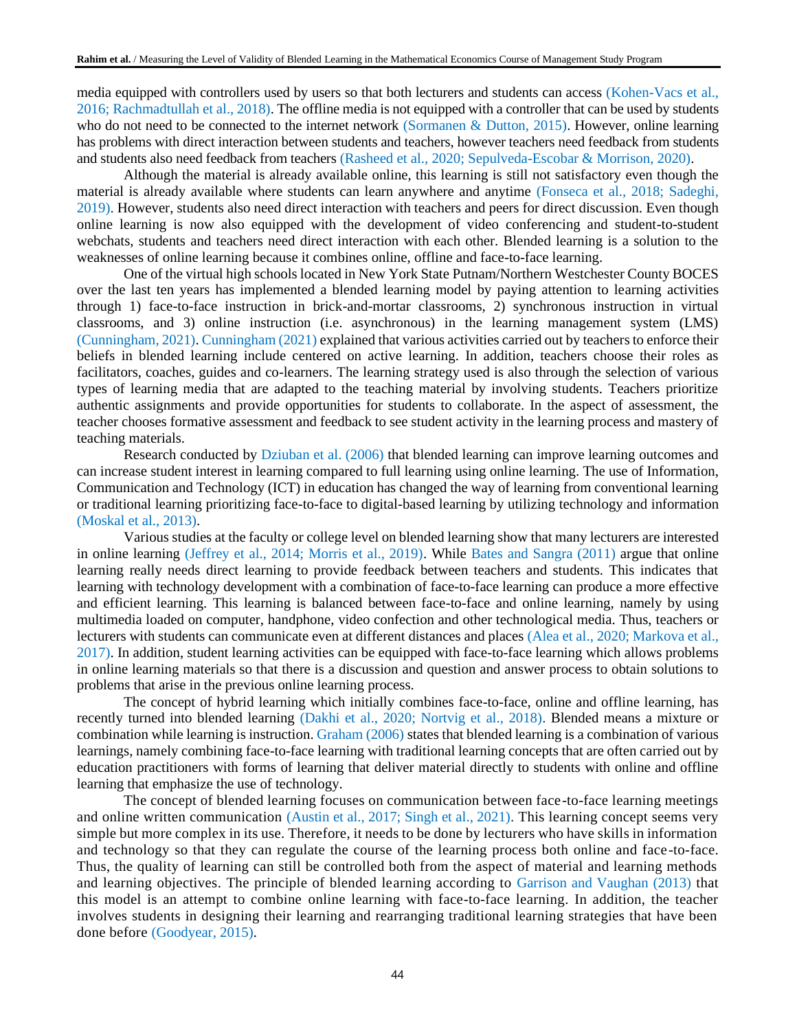media equipped with controllers used by users so that both lecturers and students can access (Kohen-Vacs et al., 2016; Rachmadtullah et al., 2018). The offline media is not equipped with a controller that can be used by students who do not need to be connected to the internet network (Sormanen & Dutton, 2015). However, online learning has problems with direct interaction between students and teachers, however teachers need feedback from students and students also need feedback from teachers (Rasheed et al., 2020; Sepulveda-Escobar & Morrison, 2020).

Although the material is already available online, this learning is still not satisfactory even though the material is already available where students can learn anywhere and anytime (Fonseca et al., 2018; Sadeghi, 2019). However, students also need direct interaction with teachers and peers for direct discussion. Even though online learning is now also equipped with the development of video conferencing and student-to-student webchats, students and teachers need direct interaction with each other. Blended learning is a solution to the weaknesses of online learning because it combines online, offline and face-to-face learning.

One of the virtual high schools located in New York State Putnam/Northern Westchester County BOCES over the last ten years has implemented a blended learning model by paying attention to learning activities through 1) face-to-face instruction in brick-and-mortar classrooms, 2) synchronous instruction in virtual classrooms, and 3) online instruction (i.e. asynchronous) in the learning management system (LMS) (Cunningham, 2021). Cunningham (2021) explained that various activities carried out by teachers to enforce their beliefs in blended learning include centered on active learning. In addition, teachers choose their roles as facilitators, coaches, guides and co-learners. The learning strategy used is also through the selection of various types of learning media that are adapted to the teaching material by involving students. Teachers prioritize authentic assignments and provide opportunities for students to collaborate. In the aspect of assessment, the teacher chooses formative assessment and feedback to see student activity in the learning process and mastery of teaching materials.

Research conducted by Dziuban et al. (2006) that blended learning can improve learning outcomes and can increase student interest in learning compared to full learning using online learning. The use of Information, Communication and Technology (ICT) in education has changed the way of learning from conventional learning or traditional learning prioritizing face-to-face to digital-based learning by utilizing technology and information (Moskal et al., 2013).

Various studies at the faculty or college level on blended learning show that many lecturers are interested in online learning (Jeffrey et al., 2014; Morris et al., 2019). While Bates and Sangra (2011) argue that online learning really needs direct learning to provide feedback between teachers and students. This indicates that learning with technology development with a combination of face-to-face learning can produce a more effective and efficient learning. This learning is balanced between face-to-face and online learning, namely by using multimedia loaded on computer, handphone, video confection and other technological media. Thus, teachers or lecturers with students can communicate even at different distances and places (Alea et al., 2020; Markova et al., 2017). In addition, student learning activities can be equipped with face-to-face learning which allows problems in online learning materials so that there is a discussion and question and answer process to obtain solutions to problems that arise in the previous online learning process.

The concept of hybrid learning which initially combines face-to-face, online and offline learning, has recently turned into blended learning (Dakhi et al., 2020; Nortvig et al., 2018). Blended means a mixture or combination while learning is instruction. Graham (2006) states that blended learning is a combination of various learnings, namely combining face-to-face learning with traditional learning concepts that are often carried out by education practitioners with forms of learning that deliver material directly to students with online and offline learning that emphasize the use of technology.

The concept of blended learning focuses on communication between face-to-face learning meetings and online written communication (Austin et al., 2017; Singh et al., 2021). This learning concept seems very simple but more complex in its use. Therefore, it needs to be done by lecturers who have skills in information and technology so that they can regulate the course of the learning process both online and face-to-face. Thus, the quality of learning can still be controlled both from the aspect of material and learning methods and learning objectives. The principle of blended learning according to Garrison and Vaughan (2013) that this model is an attempt to combine online learning with face-to-face learning. In addition, the teacher involves students in designing their learning and rearranging traditional learning strategies that have been done before (Goodyear, 2015).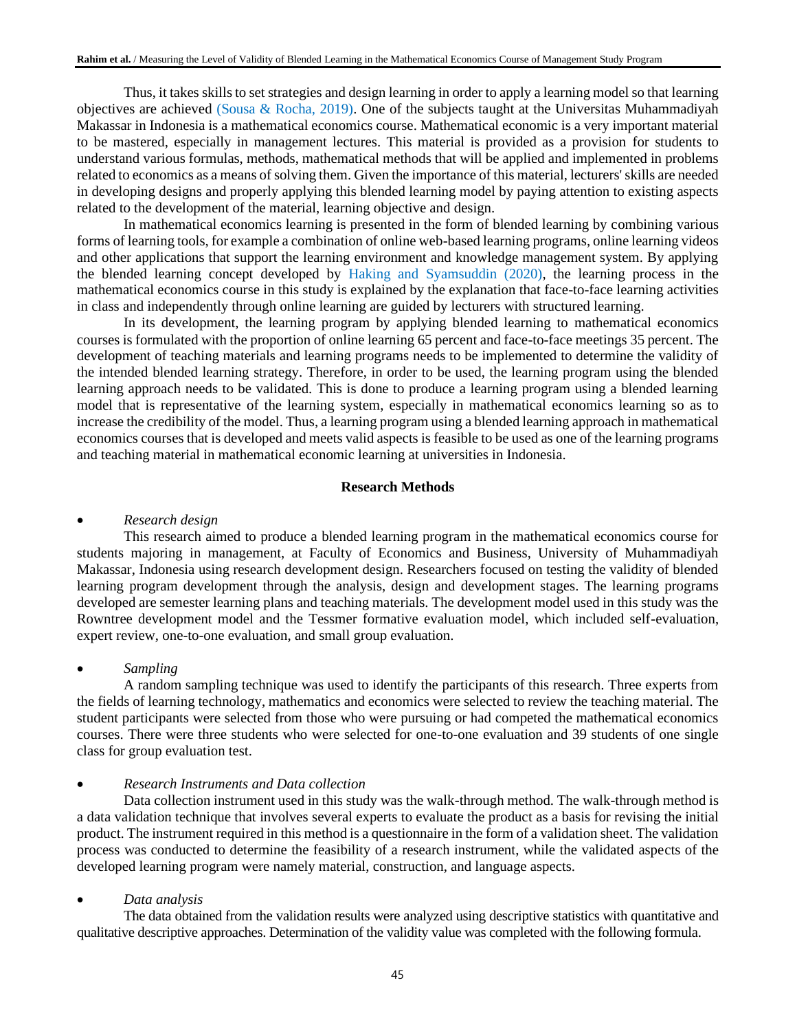Thus, it takes skills to set strategies and design learning in order to apply a learning model so that learning objectives are achieved (Sousa & Rocha, 2019). One of the subjects taught at the Universitas Muhammadiyah Makassar in Indonesia is a mathematical economics course. Mathematical economic is a very important material to be mastered, especially in management lectures. This material is provided as a provision for students to understand various formulas, methods, mathematical methods that will be applied and implemented in problems related to economics as a means of solving them. Given the importance of this material, lecturers' skills are needed in developing designs and properly applying this blended learning model by paying attention to existing aspects related to the development of the material, learning objective and design.

In mathematical economics learning is presented in the form of blended learning by combining various forms of learning tools, for example a combination of online web-based learning programs, online learning videos and other applications that support the learning environment and knowledge management system. By applying the blended learning concept developed by Haking and Syamsuddin (2020), the learning process in the mathematical economics course in this study is explained by the explanation that face-to-face learning activities in class and independently through online learning are guided by lecturers with structured learning.

In its development, the learning program by applying blended learning to mathematical economics courses is formulated with the proportion of online learning 65 percent and face-to-face meetings 35 percent. The development of teaching materials and learning programs needs to be implemented to determine the validity of the intended blended learning strategy. Therefore, in order to be used, the learning program using the blended learning approach needs to be validated. This is done to produce a learning program using a blended learning model that is representative of the learning system, especially in mathematical economics learning so as to increase the credibility of the model. Thus, a learning program using a blended learning approach in mathematical economics courses that is developed and meets valid aspects is feasible to be used as one of the learning programs and teaching material in mathematical economic learning at universities in Indonesia.

# **Research Methods**

### • *Research design*

This research aimed to produce a blended learning program in the mathematical economics course for students majoring in management, at Faculty of Economics and Business, University of Muhammadiyah Makassar, Indonesia using research development design. Researchers focused on testing the validity of blended learning program development through the analysis, design and development stages. The learning programs developed are semester learning plans and teaching materials. The development model used in this study was the Rowntree development model and the Tessmer formative evaluation model, which included self-evaluation, expert review, one-to-one evaluation, and small group evaluation.

# • *Sampling*

A random sampling technique was used to identify the participants of this research. Three experts from the fields of learning technology, mathematics and economics were selected to review the teaching material. The student participants were selected from those who were pursuing or had competed the mathematical economics courses. There were three students who were selected for one-to-one evaluation and 39 students of one single class for group evaluation test.

# • *Research Instruments and Data collection*

Data collection instrument used in this study was the walk-through method. The walk-through method is a data validation technique that involves several experts to evaluate the product as a basis for revising the initial product. The instrument required in this method is a questionnaire in the form of a validation sheet. The validation process was conducted to determine the feasibility of a research instrument, while the validated aspects of the developed learning program were namely material, construction, and language aspects.

#### • *Data analysis*

The data obtained from the validation results were analyzed using descriptive statistics with quantitative and qualitative descriptive approaches. Determination of the validity value was completed with the following formula.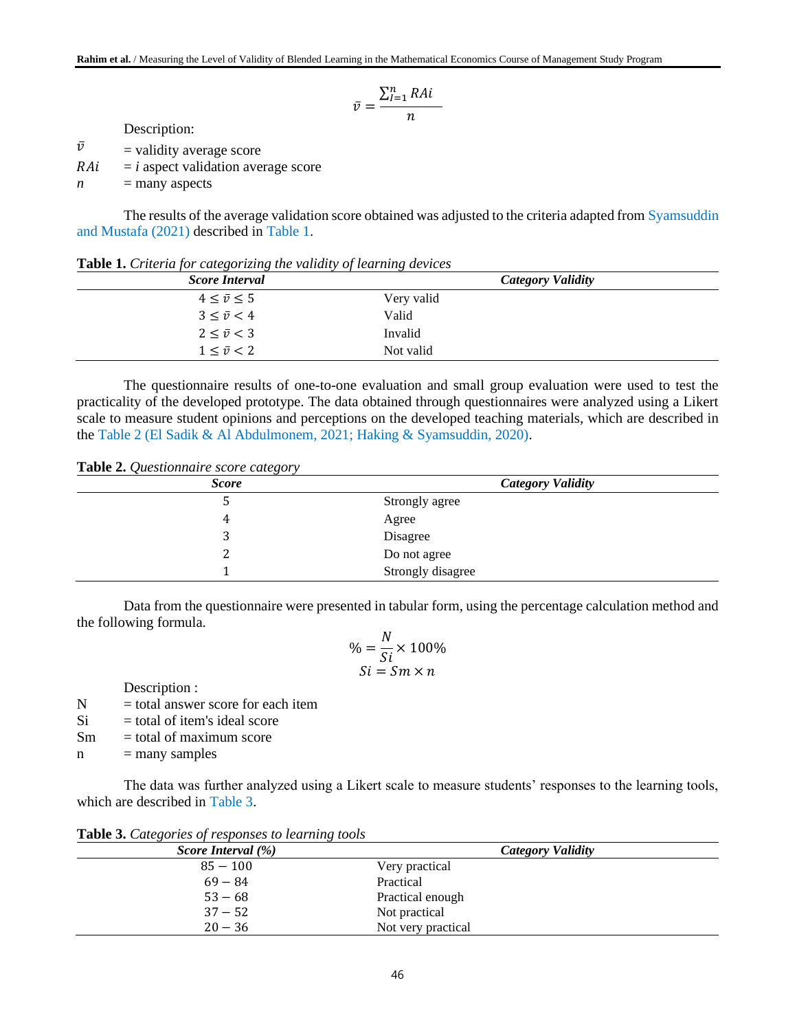$$
\bar{v} = \frac{\sum_{l=1}^{n} RAi}{n}
$$

Description:

 $\bar{v}$  = validity average score

 $RAi = i$  aspect validation average score

 $n =$  many aspects

The results of the average validation score obtained was adjusted to the criteria adapted from Syamsuddin and Mustafa (2021) described in Table 1.

| <b>Score Interval</b>   | Category Validity |  |
|-------------------------|-------------------|--|
| $4 \leq \bar{v} \leq 5$ | Very valid        |  |
| $3 < \bar{v} < 4$       | Valid             |  |
| $2 < \bar{v} < 3$       | Invalid           |  |
| $1 \leq \bar{v} \leq 2$ | Not valid         |  |

**Table 1.** *Criteria for categorizing the validity of learning devices*

The questionnaire results of one-to-one evaluation and small group evaluation were used to test the practicality of the developed prototype. The data obtained through questionnaires were analyzed using a Likert scale to measure student opinions and perceptions on the developed teaching materials, which are described in the Table 2 (El Sadik & Al Abdulmonem, 2021; Haking & Syamsuddin, 2020).

**Table 2.** *Questionnaire score category*

| ~<br><b>Score</b> | <b>Category Validity</b> |
|-------------------|--------------------------|
|                   | Strongly agree           |
|                   | Agree                    |
|                   | Disagree                 |
|                   | Do not agree             |
|                   | Strongly disagree        |

Data from the questionnaire were presented in tabular form, using the percentage calculation method and the following formula.  $\overline{r}$ 

$$
\% = \frac{N}{Si} \times 100\%
$$
  

$$
Si = Sm \times n
$$

Description :

 $N =$  total answer score for each item

 $Si = total of item's ideal score$ 

 $Sm = total of maximum score$ 

 $n =$  many samples

The data was further analyzed using a Likert scale to measure students' responses to the learning tools, which are described in Table 3.

| <b>Lable 5.</b> Calegories of responses to learning loots |                          |
|-----------------------------------------------------------|--------------------------|
| Score Interval $(\% )$                                    | <b>Category Validity</b> |
| $85 - 100$                                                | Very practical           |
| $69 - 84$                                                 | Practical                |
| $53 - 68$                                                 | Practical enough         |
| $37 - 52$                                                 | Not practical            |
| $20 - 36$                                                 | Not very practical       |

**Table 3.** *Categories of responses to learning tools*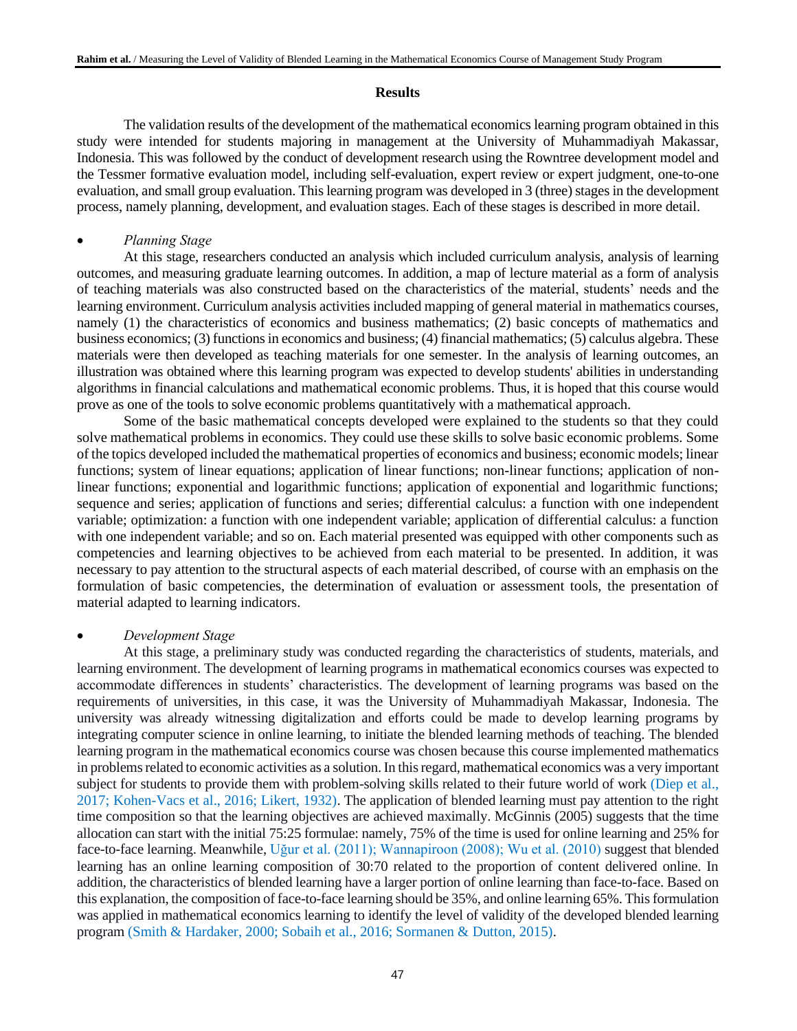# **Results**

The validation results of the development of the mathematical economics learning program obtained in this study were intended for students majoring in management at the University of Muhammadiyah Makassar, Indonesia. This was followed by the conduct of development research using the Rowntree development model and the Tessmer formative evaluation model, including self-evaluation, expert review or expert judgment, one-to-one evaluation, and small group evaluation. This learning program was developed in 3 (three) stages in the development process, namely planning, development, and evaluation stages. Each of these stages is described in more detail.

### • *Planning Stage*

At this stage, researchers conducted an analysis which included curriculum analysis, analysis of learning outcomes, and measuring graduate learning outcomes. In addition, a map of lecture material as a form of analysis of teaching materials was also constructed based on the characteristics of the material, students' needs and the learning environment. Curriculum analysis activities included mapping of general material in mathematics courses, namely (1) the characteristics of economics and business mathematics; (2) basic concepts of mathematics and business economics; (3) functions in economics and business; (4) financial mathematics; (5) calculus algebra. These materials were then developed as teaching materials for one semester. In the analysis of learning outcomes, an illustration was obtained where this learning program was expected to develop students' abilities in understanding algorithms in financial calculations and mathematical economic problems. Thus, it is hoped that this course would prove as one of the tools to solve economic problems quantitatively with a mathematical approach.

Some of the basic mathematical concepts developed were explained to the students so that they could solve mathematical problems in economics. They could use these skills to solve basic economic problems. Some of the topics developed included the mathematical properties of economics and business; economic models; linear functions; system of linear equations; application of linear functions; non-linear functions; application of nonlinear functions; exponential and logarithmic functions; application of exponential and logarithmic functions; sequence and series; application of functions and series; differential calculus: a function with one independent variable; optimization: a function with one independent variable; application of differential calculus: a function with one independent variable; and so on. Each material presented was equipped with other components such as competencies and learning objectives to be achieved from each material to be presented. In addition, it was necessary to pay attention to the structural aspects of each material described, of course with an emphasis on the formulation of basic competencies, the determination of evaluation or assessment tools, the presentation of material adapted to learning indicators.

# • *Development Stage*

At this stage, a preliminary study was conducted regarding the characteristics of students, materials, and learning environment. The development of learning programs in mathematical economics courses was expected to accommodate differences in students' characteristics. The development of learning programs was based on the requirements of universities, in this case, it was the University of Muhammadiyah Makassar, Indonesia. The university was already witnessing digitalization and efforts could be made to develop learning programs by integrating computer science in online learning, to initiate the blended learning methods of teaching. The blended learning program in the mathematical economics course was chosen because this course implemented mathematics in problems related to economic activities as a solution. In this regard, mathematical economics was a very important subject for students to provide them with problem-solving skills related to their future world of work (Diep et al., 2017; Kohen-Vacs et al., 2016; Likert, 1932). The application of blended learning must pay attention to the right time composition so that the learning objectives are achieved maximally. McGinnis (2005) suggests that the time allocation can start with the initial 75:25 formulae: namely, 75% of the time is used for online learning and 25% for face-to-face learning. Meanwhile, Uğur et al. (2011); Wannapiroon (2008); Wu et al. (2010) suggest that blended learning has an online learning composition of 30:70 related to the proportion of content delivered online. In addition, the characteristics of blended learning have a larger portion of online learning than face-to-face. Based on this explanation, the composition of face-to-face learning should be 35%, and online learning 65%. This formulation was applied in mathematical economics learning to identify the level of validity of the developed blended learning program (Smith & Hardaker, 2000; Sobaih et al., 2016; Sormanen & Dutton, 2015).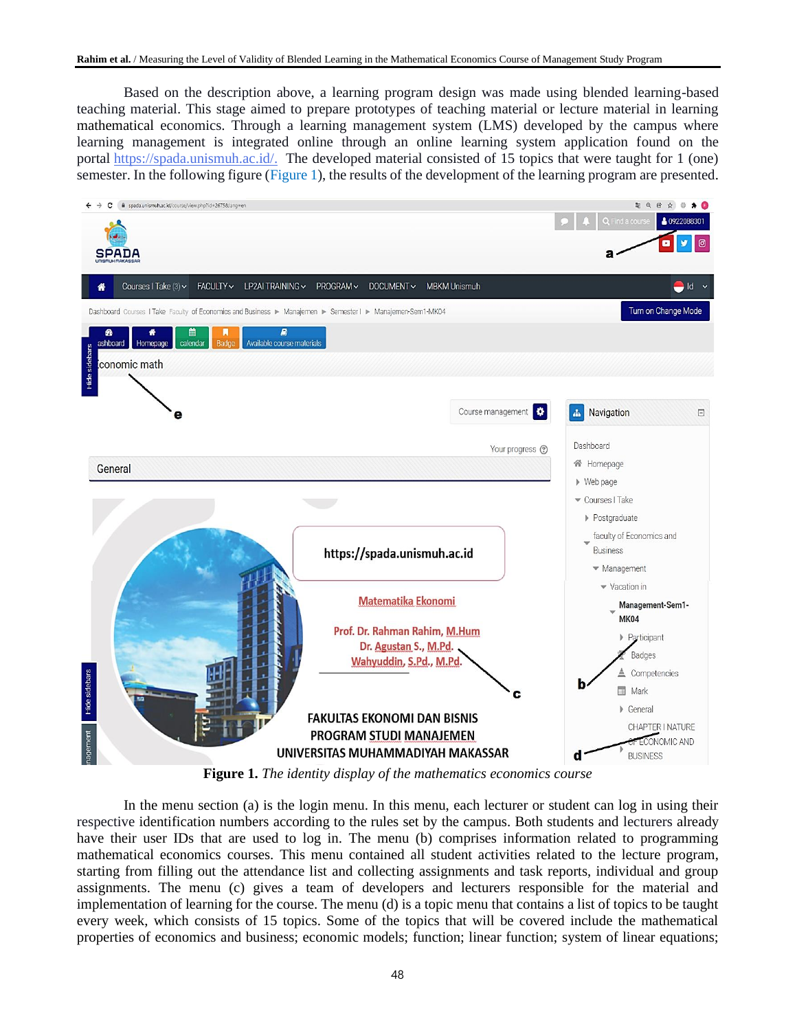Based on the description above, a learning program design was made using blended learning-based teaching material. This stage aimed to prepare prototypes of teaching material or lecture material in learning mathematical economics. Through a learning management system (LMS) developed by the campus where learning management is integrated online through an online learning system application found on the portal [https://spada.unismuh.ac.id/.](https://spada.unismuh.ac.id/) The developed material consisted of 15 topics that were taught for 1 (one) semester. In the following figure (Figure 1), the results of the development of the learning program are presented.



**Figure 1.** *The identity display of the mathematics economics course*

In the menu section (a) is the login menu. In this menu, each lecturer or student can log in using their respective identification numbers according to the rules set by the campus. Both students and lecturers already have their user IDs that are used to log in. The menu (b) comprises information related to programming mathematical economics courses. This menu contained all student activities related to the lecture program, starting from filling out the attendance list and collecting assignments and task reports, individual and group assignments. The menu (c) gives a team of developers and lecturers responsible for the material and implementation of learning for the course. The menu (d) is a topic menu that contains a list of topics to be taught every week, which consists of 15 topics. Some of the topics that will be covered include the mathematical properties of economics and business; economic models; function; linear function; system of linear equations;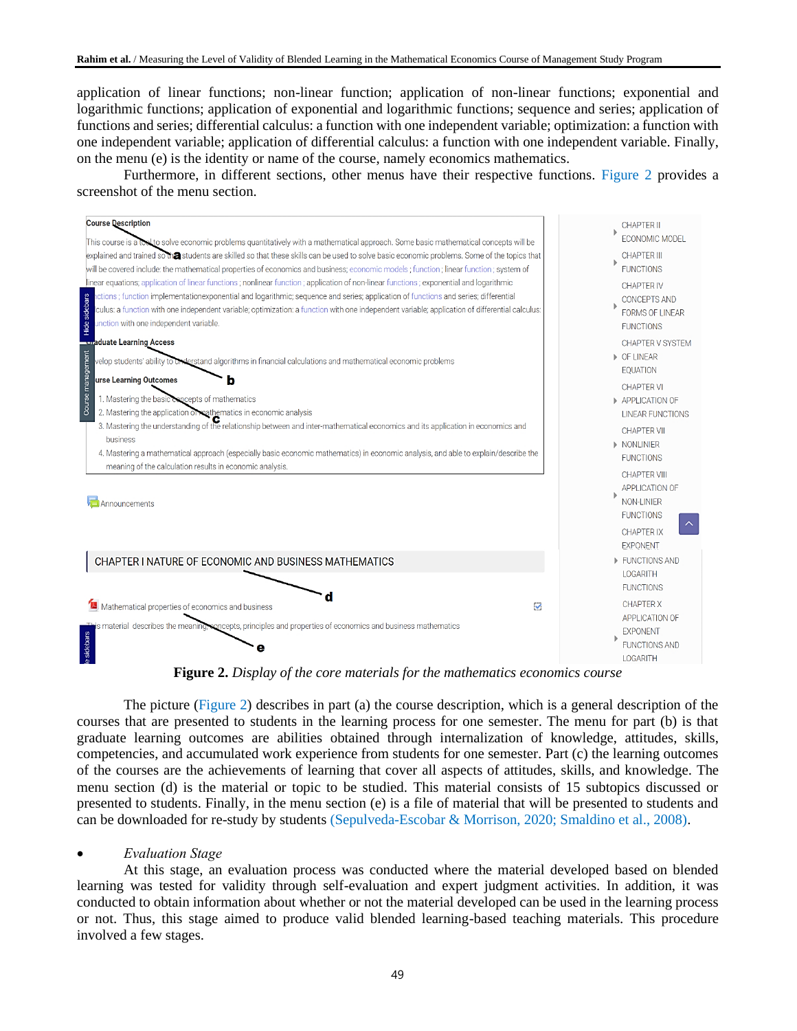application of linear functions; non-linear function; application of non-linear functions; exponential and logarithmic functions; application of exponential and logarithmic functions; sequence and series; application of functions and series; differential calculus: a function with one independent variable; optimization: a function with one independent variable; application of differential calculus: a function with one independent variable. Finally, on the menu (e) is the identity or name of the course, namely economics mathematics.

Furthermore, in different sections, other menus have their respective functions. Figure 2 provides a screenshot of the menu section.



**Figure 2.** *Display of the core materials for the mathematics economics course*

The picture (Figure 2) describes in part (a) the course description, which is a general description of the courses that are presented to students in the learning process for one semester. The menu for part (b) is that graduate learning outcomes are abilities obtained through internalization of knowledge, attitudes, skills, competencies, and accumulated work experience from students for one semester. Part (c) the learning outcomes of the courses are the achievements of learning that cover all aspects of attitudes, skills, and knowledge. The menu section (d) is the material or topic to be studied. This material consists of 15 subtopics discussed or presented to students. Finally, in the menu section (e) is a file of material that will be presented to students and can be downloaded for re-study by students (Sepulveda-Escobar & Morrison, 2020; Smaldino et al., 2008).

# • *Evaluation Stage*

At this stage, an evaluation process was conducted where the material developed based on blended learning was tested for validity through self-evaluation and expert judgment activities. In addition, it was conducted to obtain information about whether or not the material developed can be used in the learning process or not. Thus, this stage aimed to produce valid blended learning-based teaching materials. This procedure involved a few stages.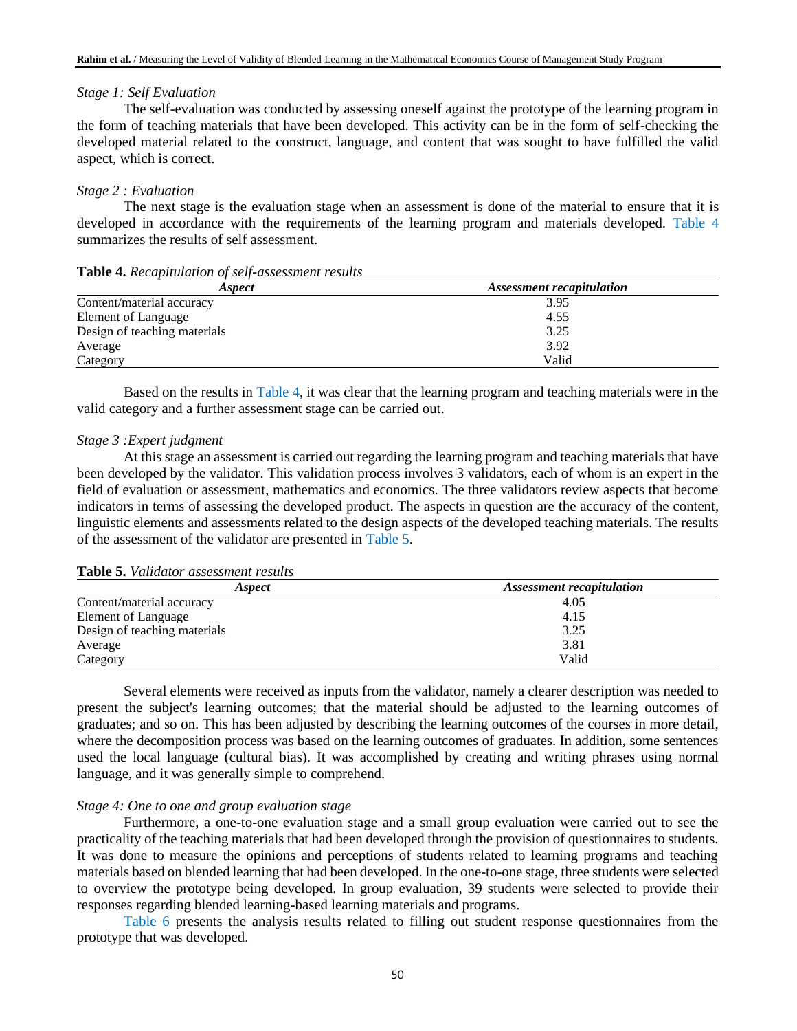### *Stage 1: Self Evaluation*

The self-evaluation was conducted by assessing oneself against the prototype of the learning program in the form of teaching materials that have been developed. This activity can be in the form of self-checking the developed material related to the construct, language, and content that was sought to have fulfilled the valid aspect, which is correct.

### *Stage 2 : Evaluation*

The next stage is the evaluation stage when an assessment is done of the material to ensure that it is developed in accordance with the requirements of the learning program and materials developed. Table 4 summarizes the results of self assessment.

| Aspect                       | Assessment recapitulation |
|------------------------------|---------------------------|
| Content/material accuracy    | 3.95                      |
| Element of Language          | 4.55                      |
| Design of teaching materials | 3.25                      |
| Average                      | 3.92                      |
| Category                     | Valid                     |

#### **Table 4.** *Recapitulation of self-assessment results*

Based on the results in Table 4, it was clear that the learning program and teaching materials were in the valid category and a further assessment stage can be carried out.

#### *Stage 3 :Expert judgment*

At this stage an assessment is carried out regarding the learning program and teaching materials that have been developed by the validator. This validation process involves 3 validators, each of whom is an expert in the field of evaluation or assessment, mathematics and economics. The three validators review aspects that become indicators in terms of assessing the developed product. The aspects in question are the accuracy of the content, linguistic elements and assessments related to the design aspects of the developed teaching materials. The results of the assessment of the validator are presented in Table 5.

# **Table 5.** *Validator assessment results*

| Aspect                       | <b>Assessment recapitulation</b> |  |
|------------------------------|----------------------------------|--|
| Content/material accuracy    | 4.05                             |  |
| Element of Language          | 4.15                             |  |
| Design of teaching materials | 3.25                             |  |
| Average                      | 3.81                             |  |
| Category                     | Valid                            |  |

Several elements were received as inputs from the validator, namely a clearer description was needed to present the subject's learning outcomes; that the material should be adjusted to the learning outcomes of graduates; and so on. This has been adjusted by describing the learning outcomes of the courses in more detail, where the decomposition process was based on the learning outcomes of graduates. In addition, some sentences used the local language (cultural bias). It was accomplished by creating and writing phrases using normal language, and it was generally simple to comprehend.

### *Stage 4: One to one and group evaluation stage*

Furthermore, a one-to-one evaluation stage and a small group evaluation were carried out to see the practicality of the teaching materials that had been developed through the provision of questionnaires to students. It was done to measure the opinions and perceptions of students related to learning programs and teaching materials based on blended learning that had been developed. In the one-to-one stage, three students were selected to overview the prototype being developed. In group evaluation, 39 students were selected to provide their responses regarding blended learning-based learning materials and programs.

Table 6 presents the analysis results related to filling out student response questionnaires from the prototype that was developed.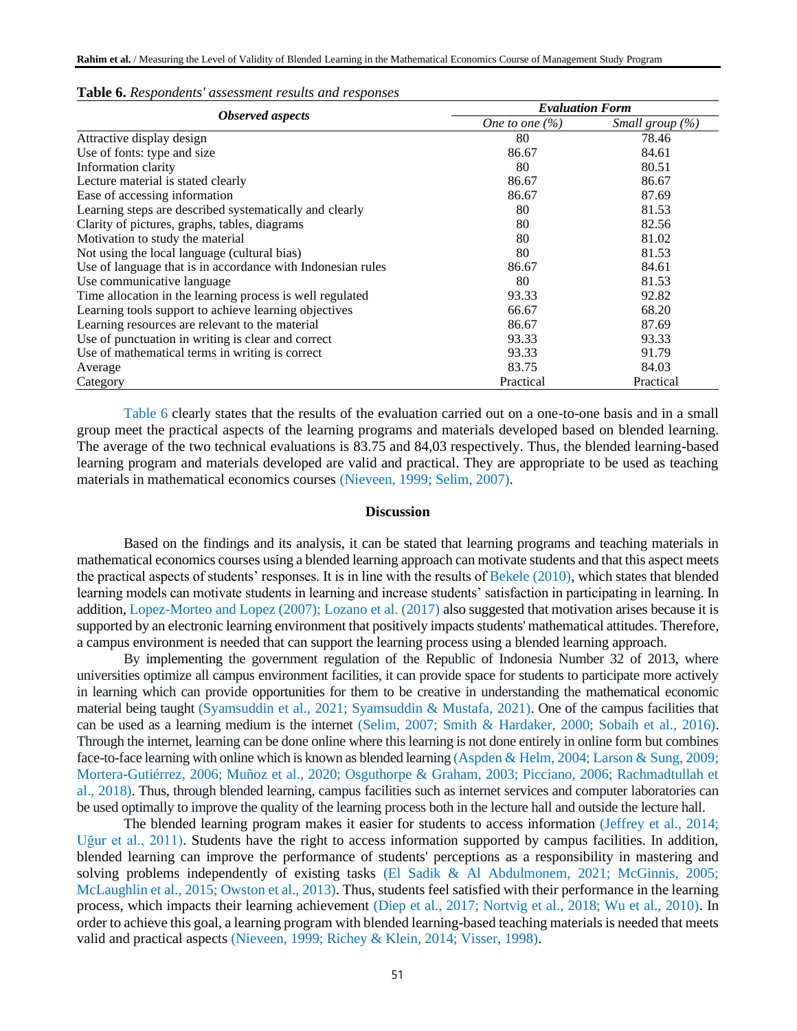|                                                             | <b>Evaluation Form</b> |                           |  |
|-------------------------------------------------------------|------------------------|---------------------------|--|
| <b>Observed</b> aspects                                     | One to one $(\%)$      | <i>Small group</i> $(\%)$ |  |
| Attractive display design                                   | 80                     | 78.46                     |  |
| Use of fonts: type and size                                 | 86.67                  | 84.61                     |  |
| Information clarity                                         | 80                     | 80.51                     |  |
| Lecture material is stated clearly                          | 86.67                  | 86.67                     |  |
| Ease of accessing information                               | 86.67                  | 87.69                     |  |
| Learning steps are described systematically and clearly     | 80                     | 81.53                     |  |
| Clarity of pictures, graphs, tables, diagrams               | 80                     | 82.56                     |  |
| Motivation to study the material                            | 80                     | 81.02                     |  |
| Not using the local language (cultural bias)                | 80                     | 81.53                     |  |
| Use of language that is in accordance with Indonesian rules | 86.67                  | 84.61                     |  |
| Use communicative language                                  | 80                     | 81.53                     |  |
| Time allocation in the learning process is well regulated   | 93.33                  | 92.82                     |  |
| Learning tools support to achieve learning objectives       | 66.67                  | 68.20                     |  |
| Learning resources are relevant to the material             | 86.67                  | 87.69                     |  |
| Use of punctuation in writing is clear and correct          | 93.33                  | 93.33                     |  |
| Use of mathematical terms in writing is correct             | 93.33                  | 91.79                     |  |
| Average                                                     | 83.75                  | 84.03                     |  |
| Category                                                    | Practical              | Practical                 |  |

#### **Table 6.** *Respondents' assessment results and responses*

Table 6 clearly states that the results of the evaluation carried out on a one-to-one basis and in a small group meet the practical aspects of the learning programs and materials developed based on blended learning. The average of the two technical evaluations is 83.75 and 84,03 respectively. Thus, the blended learning-based learning program and materials developed are valid and practical. They are appropriate to be used as teaching materials in mathematical economics courses (Nieveen, 1999; Selim, 2007).

### **Discussion**

Based on the findings and its analysis, it can be stated that learning programs and teaching materials in mathematical economics courses using a blended learning approach can motivate students and that this aspect meets the practical aspects of students' responses. It is in line with the results of Bekele (2010), which states that blended learning models can motivate students in learning and increase students' satisfaction in participating in learning. In addition, Lopez-Morteo and Lopez (2007); Lozano et al. (2017) also suggested that motivation arises because it is supported by an electronic learning environment that positively impacts students' mathematical attitudes. Therefore, a campus environment is needed that can support the learning process using a blended learning approach.

By implementing the government regulation of the Republic of Indonesia Number 32 of 2013, where universities optimize all campus environment facilities, it can provide space for students to participate more actively in learning which can provide opportunities for them to be creative in understanding the mathematical economic material being taught (Syamsuddin et al., 2021; Syamsuddin & Mustafa, 2021). One of the campus facilities that can be used as a learning medium is the internet (Selim, 2007; Smith & Hardaker, 2000; Sobaih et al., 2016). Through the internet, learning can be done online where this learning is not done entirely in online form but combines face-to-face learning with online which is known as blended learning (Aspden & Helm, 2004; Larson & Sung, 2009; Mortera-Gutiérrez, 2006; Muñoz et al., 2020; Osguthorpe & Graham, 2003; Picciano, 2006; Rachmadtullah et al., 2018). Thus, through blended learning, campus facilities such as internet services and computer laboratories can be used optimally to improve the quality of the learning process both in the lecture hall and outside the lecture hall.

The blended learning program makes it easier for students to access information (Jeffrey et al., 2014; Uğur et al., 2011). Students have the right to access information supported by campus facilities. In addition, blended learning can improve the performance of students' perceptions as a responsibility in mastering and solving problems independently of existing tasks (El Sadik & Al Abdulmonem, 2021; McGinnis, 2005; McLaughlin et al., 2015; Owston et al., 2013). Thus, students feel satisfied with their performance in the learning process, which impacts their learning achievement (Diep et al., 2017; Nortvig et al., 2018; Wu et al., 2010). In order to achieve this goal, a learning program with blended learning-based teaching materials is needed that meets valid and practical aspects (Nieveen, 1999; Richey & Klein, 2014; Visser, 1998).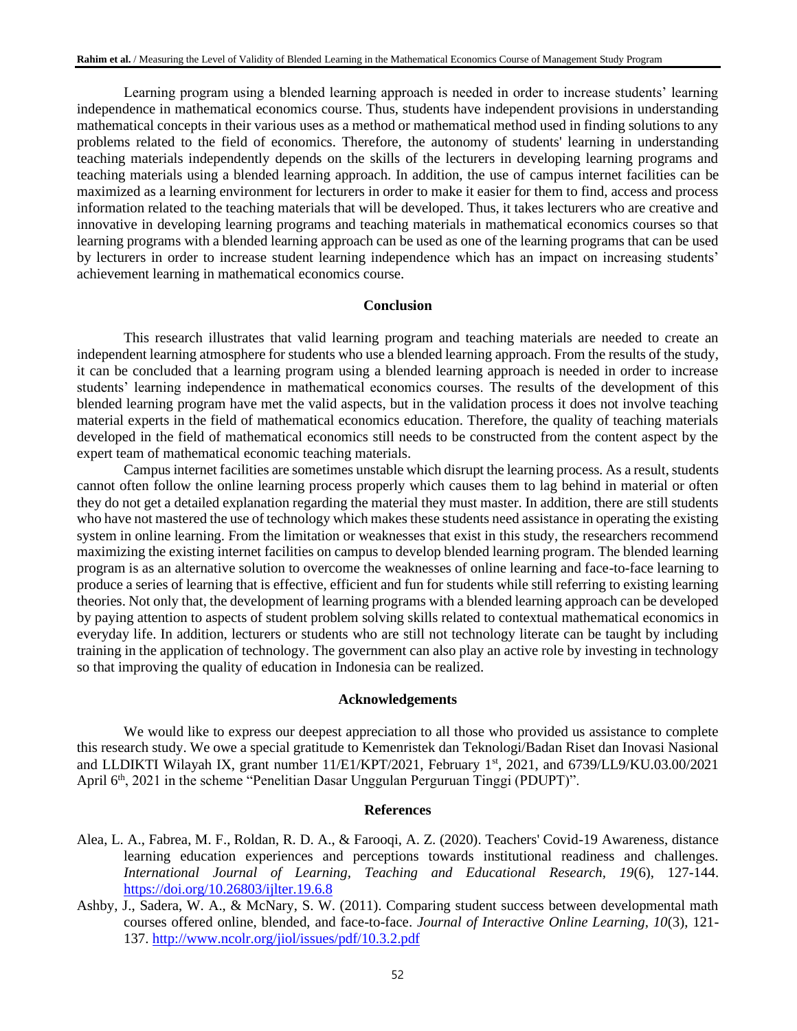Learning program using a blended learning approach is needed in order to increase students' learning independence in mathematical economics course. Thus, students have independent provisions in understanding mathematical concepts in their various uses as a method or mathematical method used in finding solutions to any problems related to the field of economics. Therefore, the autonomy of students' learning in understanding teaching materials independently depends on the skills of the lecturers in developing learning programs and teaching materials using a blended learning approach. In addition, the use of campus internet facilities can be maximized as a learning environment for lecturers in order to make it easier for them to find, access and process information related to the teaching materials that will be developed. Thus, it takes lecturers who are creative and innovative in developing learning programs and teaching materials in mathematical economics courses so that learning programs with a blended learning approach can be used as one of the learning programs that can be used by lecturers in order to increase student learning independence which has an impact on increasing students' achievement learning in mathematical economics course.

### **Conclusion**

This research illustrates that valid learning program and teaching materials are needed to create an independent learning atmosphere for students who use a blended learning approach. From the results of the study, it can be concluded that a learning program using a blended learning approach is needed in order to increase students' learning independence in mathematical economics courses. The results of the development of this blended learning program have met the valid aspects, but in the validation process it does not involve teaching material experts in the field of mathematical economics education. Therefore, the quality of teaching materials developed in the field of mathematical economics still needs to be constructed from the content aspect by the expert team of mathematical economic teaching materials.

Campus internet facilities are sometimes unstable which disrupt the learning process. As a result, students cannot often follow the online learning process properly which causes them to lag behind in material or often they do not get a detailed explanation regarding the material they must master. In addition, there are still students who have not mastered the use of technology which makes these students need assistance in operating the existing system in online learning. From the limitation or weaknesses that exist in this study, the researchers recommend maximizing the existing internet facilities on campus to develop blended learning program. The blended learning program is as an alternative solution to overcome the weaknesses of online learning and face-to-face learning to produce a series of learning that is effective, efficient and fun for students while still referring to existing learning theories. Not only that, the development of learning programs with a blended learning approach can be developed by paying attention to aspects of student problem solving skills related to contextual mathematical economics in everyday life. In addition, lecturers or students who are still not technology literate can be taught by including training in the application of technology. The government can also play an active role by investing in technology so that improving the quality of education in Indonesia can be realized.

### **Acknowledgements**

We would like to express our deepest appreciation to all those who provided us assistance to complete this research study. We owe a special gratitude to Kemenristek dan Teknologi/Badan Riset dan Inovasi Nasional and LLDIKTI Wilayah IX, grant number  $11/E1/KPT/2021$ , February  $1<sup>st</sup>$ , 2021, and 6739/LL9/KU.03.00/2021 April 6<sup>th</sup>, 2021 in the scheme "Penelitian Dasar Unggulan Perguruan Tinggi (PDUPT)".

#### **References**

- Alea, L. A., Fabrea, M. F., Roldan, R. D. A., & Farooqi, A. Z. (2020). Teachers' Covid-19 Awareness, distance learning education experiences and perceptions towards institutional readiness and challenges. *International Journal of Learning, Teaching and Educational Research, 19*(6), 127-144. <https://doi.org/10.26803/ijlter.19.6.8>
- Ashby, J., Sadera, W. A., & McNary, S. W. (2011). Comparing student success between developmental math courses offered online, blended, and face-to-face. *Journal of Interactive Online Learning, 10*(3), 121- 137.<http://www.ncolr.org/jiol/issues/pdf/10.3.2.pdf>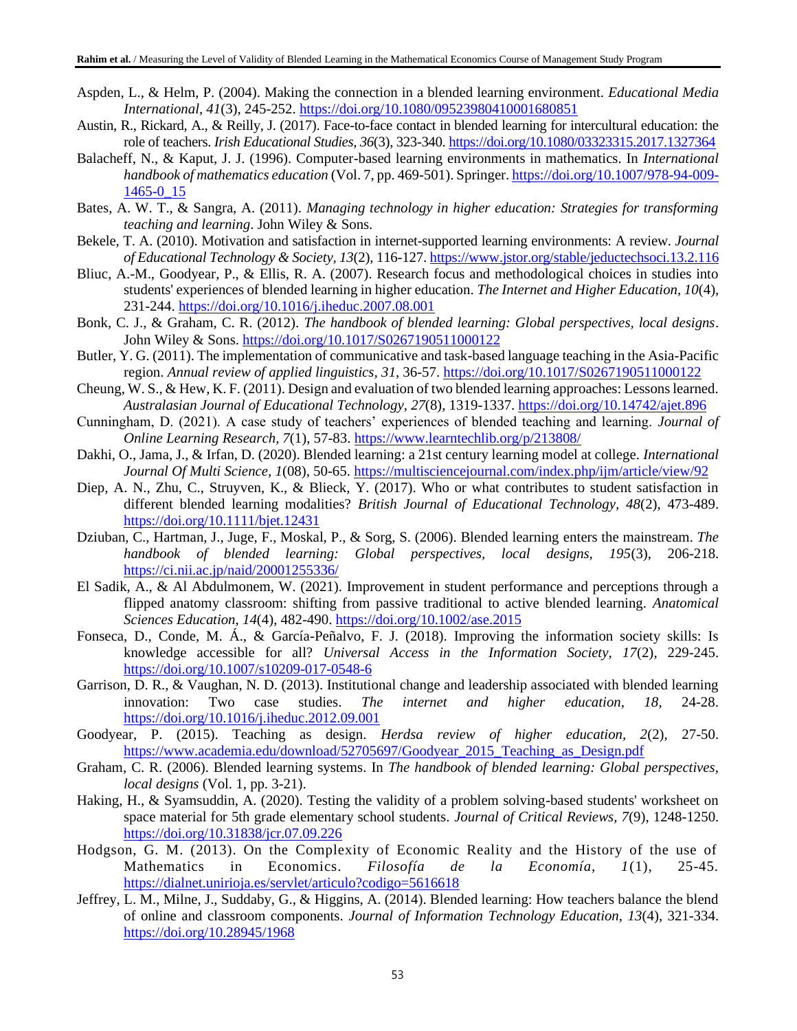- Aspden, L., & Helm, P. (2004). Making the connection in a blended learning environment. *Educational Media International, 41*(3), 245-252.<https://doi.org/10.1080/09523980410001680851>
- Austin, R., Rickard, A., & Reilly, J. (2017). Face-to-face contact in blended learning for intercultural education: the role of teachers. *Irish Educational Studies, 36*(3), 323-340.<https://doi.org/10.1080/03323315.2017.1327364>
- Balacheff, N., & Kaput, J. J. (1996). Computer-based learning environments in mathematics. In *International handbook of mathematics education* (Vol. 7, pp. 469-501). Springer[. https://doi.org/10.1007/978-94-009-](https://doi.org/10.1007/978-94-009-1465-0_15) [1465-0\\_15](https://doi.org/10.1007/978-94-009-1465-0_15)
- Bates, A. W. T., & Sangra, A. (2011). *Managing technology in higher education: Strategies for transforming teaching and learning*. John Wiley & Sons.
- Bekele, T. A. (2010). Motivation and satisfaction in internet-supported learning environments: A review. *Journal of Educational Technology & Society, 13*(2), 116-127[. https://www.jstor.org/stable/jeductechsoci.13.2.116](https://www.jstor.org/stable/jeductechsoci.13.2.116)
- Bliuc, A.-M., Goodyear, P., & Ellis, R. A. (2007). Research focus and methodological choices in studies into students' experiences of blended learning in higher education. *The Internet and Higher Education, 10*(4), 231-244.<https://doi.org/10.1016/j.iheduc.2007.08.001>
- Bonk, C. J., & Graham, C. R. (2012). *The handbook of blended learning: Global perspectives, local designs*. John Wiley & Sons.<https://doi.org/10.1017/S0267190511000122>
- Butler, Y. G. (2011). The implementation of communicative and task-based language teaching in the Asia-Pacific region. *Annual review of applied linguistics, 31*, 36-57[. https://doi.org/10.1017/S0267190511000122](https://doi.org/10.1017/S0267190511000122)
- Cheung, W. S., & Hew, K. F. (2011). Design and evaluation of two blended learning approaches: Lessons learned. *Australasian Journal of Educational Technology, 27*(8), 1319-1337.<https://doi.org/10.14742/ajet.896>
- Cunningham, D. (2021). A case study of teachers' experiences of blended teaching and learning. *Journal of Online Learning Research, 7*(1), 57-83.<https://www.learntechlib.org/p/213808/>
- Dakhi, O., Jama, J., & Irfan, D. (2020). Blended learning: a 21st century learning model at college. *International Journal Of Multi Science, 1*(08), 50-65.<https://multisciencejournal.com/index.php/ijm/article/view/92>
- Diep, A. N., Zhu, C., Struyven, K., & Blieck, Y. (2017). Who or what contributes to student satisfaction in different blended learning modalities? *British Journal of Educational Technology, 48*(2), 473-489. <https://doi.org/10.1111/bjet.12431>
- Dziuban, C., Hartman, J., Juge, F., Moskal, P., & Sorg, S. (2006). Blended learning enters the mainstream. *The handbook of blended learning: Global perspectives, local designs, 195*(3), 206-218. <https://ci.nii.ac.jp/naid/20001255336/>
- El Sadik, A., & Al Abdulmonem, W. (2021). Improvement in student performance and perceptions through a flipped anatomy classroom: shifting from passive traditional to active blended learning. *Anatomical Sciences Education, 14*(4), 482-490.<https://doi.org/10.1002/ase.2015>
- Fonseca, D., Conde, M. Á., & García-Peñalvo, F. J. (2018). Improving the information society skills: Is knowledge accessible for all? *Universal Access in the Information Society, 17*(2), 229-245. <https://doi.org/10.1007/s10209-017-0548-6>
- Garrison, D. R., & Vaughan, N. D. (2013). Institutional change and leadership associated with blended learning innovation: Two case studies. *The internet and higher education, 18*, 24-28. <https://doi.org/10.1016/j.iheduc.2012.09.001>
- Goodyear, P. (2015). Teaching as design. *Herdsa review of higher education, 2*(2), 27-50. [https://www.academia.edu/download/52705697/Goodyear\\_2015\\_Teaching\\_as\\_Design.pdf](https://www.academia.edu/download/52705697/Goodyear_2015_Teaching_as_Design.pdf)
- Graham, C. R. (2006). Blended learning systems. In *The handbook of blended learning: Global perspectives, local designs* (Vol. 1, pp. 3-21).
- Haking, H., & Syamsuddin, A. (2020). Testing the validity of a problem solving-based students' worksheet on space material for 5th grade elementary school students. *Journal of Critical Reviews, 7*(9), 1248-1250. <https://doi.org/10.31838/jcr.07.09.226>
- Hodgson, G. M. (2013). On the Complexity of Economic Reality and the History of the use of Mathematics in Economics. *Filosofía de la Economía, 1*(1), 25-45. <https://dialnet.unirioja.es/servlet/articulo?codigo=5616618>
- Jeffrey, L. M., Milne, J., Suddaby, G., & Higgins, A. (2014). Blended learning: How teachers balance the blend of online and classroom components. *Journal of Information Technology Education, 13*(4), 321-334. <https://doi.org/10.28945/1968>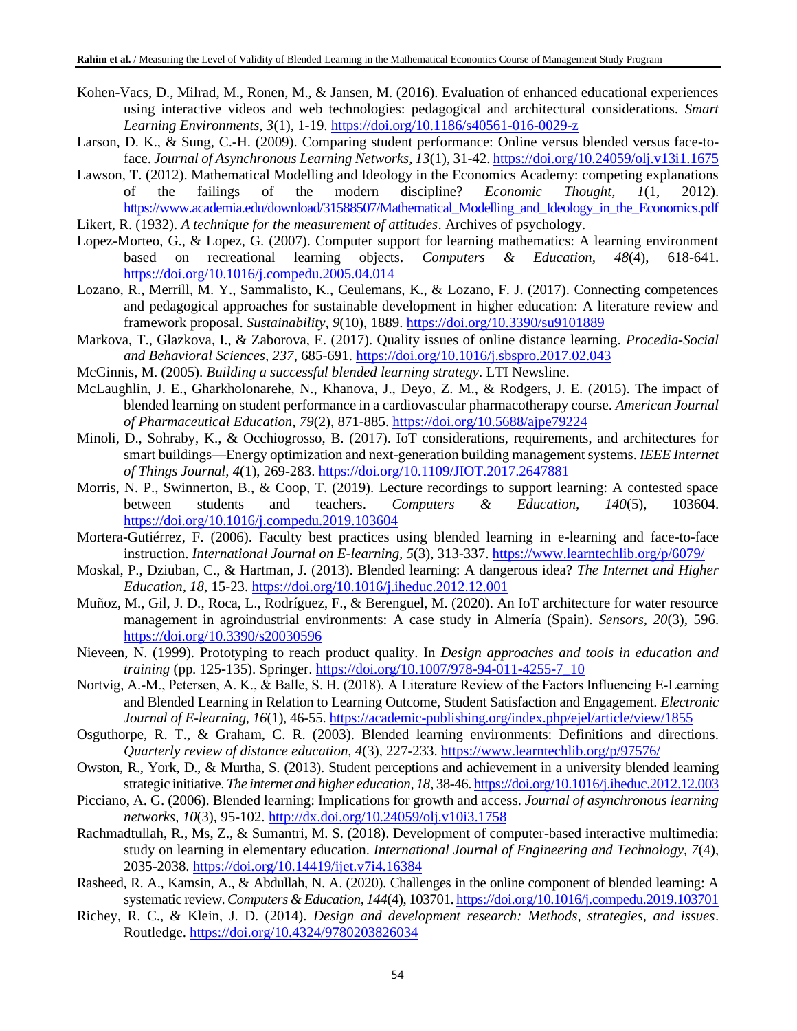- Kohen-Vacs, D., Milrad, M., Ronen, M., & Jansen, M. (2016). Evaluation of enhanced educational experiences using interactive videos and web technologies: pedagogical and architectural considerations. *Smart Learning Environments, 3*(1), 1-19.<https://doi.org/10.1186/s40561-016-0029-z>
- Larson, D. K., & Sung, C.-H. (2009). Comparing student performance: Online versus blended versus face-toface. *Journal of Asynchronous Learning Networks, 13*(1), 31-42[. https://doi.org/10.24059/olj.v13i1.1675](https://doi.org/10.24059/olj.v13i1.1675)
- Lawson, T. (2012). Mathematical Modelling and Ideology in the Economics Academy: competing explanations of the failings of the modern discipline? *Economic Thought, 1*(1, 2012). [https://www.academia.edu/download/31588507/Mathematical\\_Modelling\\_and\\_Ideology\\_in\\_the\\_Economics.pdf](https://www.academia.edu/download/31588507/Mathematical_Modelling_and_Ideology_in_the_Economics.pdf)

Likert, R. (1932). *A technique for the measurement of attitudes*. Archives of psychology.

- Lopez-Morteo, G., & Lopez, G. (2007). Computer support for learning mathematics: A learning environment based on recreational learning objects. *Computers & Education, 48*(4), 618-641. <https://doi.org/10.1016/j.compedu.2005.04.014>
- Lozano, R., Merrill, M. Y., Sammalisto, K., Ceulemans, K., & Lozano, F. J. (2017). Connecting competences and pedagogical approaches for sustainable development in higher education: A literature review and framework proposal. *Sustainability, 9*(10), 1889.<https://doi.org/10.3390/su9101889>
- Markova, T., Glazkova, I., & Zaborova, E. (2017). Quality issues of online distance learning. *Procedia-Social and Behavioral Sciences, 237*, 685-691.<https://doi.org/10.1016/j.sbspro.2017.02.043>
- McGinnis, M. (2005). *Building a successful blended learning strategy*. LTI Newsline.
- McLaughlin, J. E., Gharkholonarehe, N., Khanova, J., Deyo, Z. M., & Rodgers, J. E. (2015). The impact of blended learning on student performance in a cardiovascular pharmacotherapy course. *American Journal of Pharmaceutical Education, 79*(2), 871-885.<https://doi.org/10.5688/ajpe79224>
- Minoli, D., Sohraby, K., & Occhiogrosso, B. (2017). IoT considerations, requirements, and architectures for smart buildings—Energy optimization and next-generation building management systems. *IEEE Internet of Things Journal, 4*(1), 269-283.<https://doi.org/10.1109/JIOT.2017.2647881>
- Morris, N. P., Swinnerton, B., & Coop, T. (2019). Lecture recordings to support learning: A contested space between students and teachers. *Computers & Education, 140*(5), 103604. <https://doi.org/10.1016/j.compedu.2019.103604>
- Mortera-Gutiérrez, F. (2006). Faculty best practices using blended learning in e-learning and face-to-face instruction. *International Journal on E-learning, 5*(3), 313-337.<https://www.learntechlib.org/p/6079/>
- Moskal, P., Dziuban, C., & Hartman, J. (2013). Blended learning: A dangerous idea? *The Internet and Higher Education, 18*, 15-23.<https://doi.org/10.1016/j.iheduc.2012.12.001>
- Muñoz, M., Gil, J. D., Roca, L., Rodríguez, F., & Berenguel, M. (2020). An IoT architecture for water resource management in agroindustrial environments: A case study in Almería (Spain). *Sensors, 20*(3), 596. <https://doi.org/10.3390/s20030596>
- Nieveen, N. (1999). Prototyping to reach product quality. In *Design approaches and tools in education and training* (pp. 125-135). Springer. [https://doi.org/10.1007/978-94-011-4255-7\\_10](https://doi.org/10.1007/978-94-011-4255-7_10)
- Nortvig, A.-M., Petersen, A. K., & Balle, S. H. (2018). A Literature Review of the Factors Influencing E‑Learning and Blended Learning in Relation to Learning Outcome, Student Satisfaction and Engagement. *Electronic Journal of E-learning, 16*(1), 46-55.<https://academic-publishing.org/index.php/ejel/article/view/1855>
- Osguthorpe, R. T., & Graham, C. R. (2003). Blended learning environments: Definitions and directions. *Quarterly review of distance education, 4*(3), 227-233.<https://www.learntechlib.org/p/97576/>
- Owston, R., York, D., & Murtha, S. (2013). Student perceptions and achievement in a university blended learning strategic initiative. *The internet and higher education, 18*, 38-46[. https://doi.org/10.1016/j.iheduc.2012.12.003](https://doi.org/10.1016/j.iheduc.2012.12.003)
- Picciano, A. G. (2006). Blended learning: Implications for growth and access. *Journal of asynchronous learning networks, 10*(3), 95-102.<http://dx.doi.org/10.24059/olj.v10i3.1758>
- Rachmadtullah, R., Ms, Z., & Sumantri, M. S. (2018). Development of computer-based interactive multimedia: study on learning in elementary education. *International Journal of Engineering and Technology, 7*(4), 2035-2038.<https://doi.org/10.14419/ijet.v7i4.16384>
- Rasheed, R. A., Kamsin, A., & Abdullah, N. A. (2020). Challenges in the online component of blended learning: A systematic review. *Computers & Education, 144*(4), 103701[. https://doi.org/10.1016/j.compedu.2019.103701](https://doi.org/10.1016/j.compedu.2019.103701)
- Richey, R. C., & Klein, J. D. (2014). *Design and development research: Methods, strategies, and issues*. Routledge.<https://doi.org/10.4324/9780203826034>